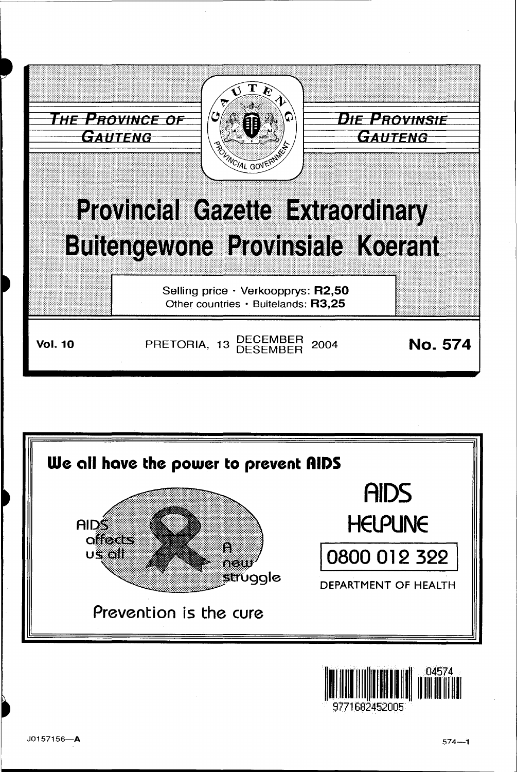



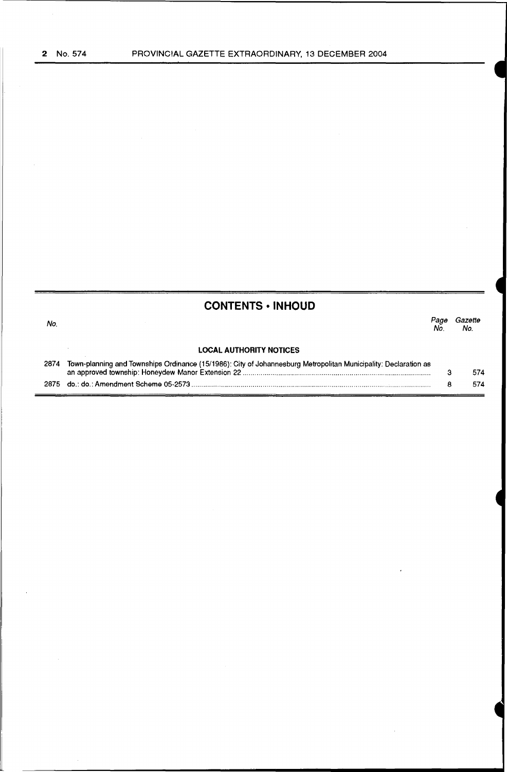| <b>CONTENTS • INHOUD</b> |                                                                                                                 |            |                |
|--------------------------|-----------------------------------------------------------------------------------------------------------------|------------|----------------|
| No.                      |                                                                                                                 | Page<br>Nο | Gazette<br>No. |
|                          | <b>LOCAL AUTHORITY NOTICES</b>                                                                                  |            |                |
| 2874                     | Town-planning and Townships Ordinance (15/1986): City of Johannesburg Metropolitan Municipality: Declaration as |            | 574            |
|                          |                                                                                                                 | 8          | 574            |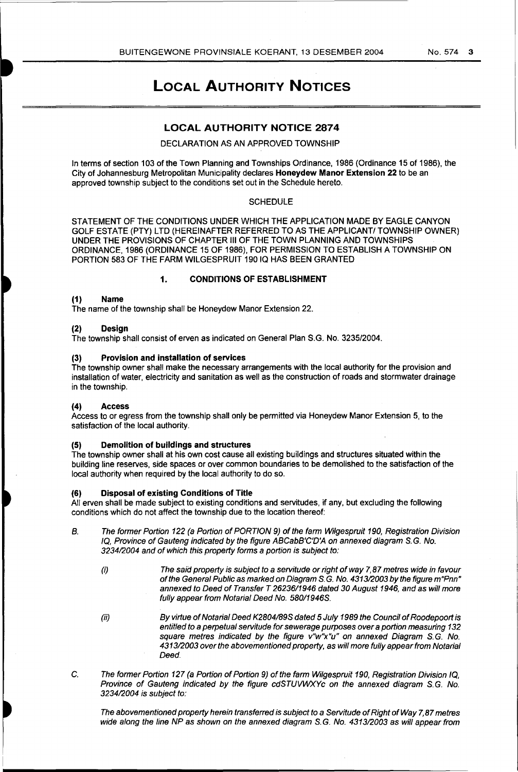# LOCAL AUTHORITY NOTICES

## LOCAL AUTHORITY NOTICE 2874

### DECLARATION AS AN APPROVED TOWNSHIP

In terms of section 103 of the Town Planning and Townships Ordinance, 1986 (Ordinance 15 of 1986), the City of Johannesburg Metropolitan Municipality declares Honeydew Manor Extension 22 to be an approved township subject to the conditions set out in the Schedule hereto.

#### **SCHEDULE**

STATEMENT OF THE CONDITIONS UNDER WHICH THE APPLICATION MADE BY EAGLE CANYON GOLF ESTATE (PTY) LTD (HEREINAFTER REFERRED TO AS THE APPLICANT/ TOWNSHIP OWNER) UNDER THE PROVISIONS OF CHAPTER Ill OF THE TOWN PLANNING AND TOWNSHIPS ORDINANCE, 1986 (ORDINANCE 15 OF 1986), FOR PERMISSION TO ESTABLISH A TOWNSHIP ON PORTION 583 OF THE FARM WILGESPRUIT 190 IQ HAS BEEN GRANTED

## 1. CONDITIONS OF ESTABLISHMENT

### (1) Name

The name of the township shall be Honeydew Manor Extension 22.

## (2) Design

The township shall consist of erven as indicated on General Plan S.G. No. 3235/2004.

#### (3) Provision and installation of services

The township owner shall make the necessary arrangements with the local authority for the provision and installation of water, electricity and sanitation as well as the construction of roads and stormwater drainage in the township.

## (4) Access

Access to or egress from the township shall only be permitted via Honeydew Manor Extension 5, to the satisfaction of the local authority.

#### (5) Demolition of buildings and structures

The township owner shall at his own cost cause all existing buildings and structures situated within the building line reserves, side spaces or over common boundaries to be demolished to the satisfaction of the local authority when required by the local authority to do so.

#### (6) Disposal of existing Conditions of Title

All erven shall be made subject to existing conditions and servitudes, if any, but excluding the following conditions which do not affect the township due to the location thereof:

- B. The former Portion 122 (a Portion of PORTION 9) of the farm Wifgespruit 190, Registration Division IQ, Province of Gauteng indicated by the figure ABCabB'C'D'A on annexed diagram S. G. No. 323412004 and of which this property forms a portion is subject to:
	- (i) The said property is subject to a servitude or right of way 7, 87 metres wide in favour of the General Public as marked on Diagram S. G. No. 431312003 by the figure m"Pnn" annexed to Deed of Transfer T 26236/1946 dated 30 August 1946, and as will more fully appear from Notarial Deed No. 580/1946S.
	- (ii) By virtue of Notarial Deed K2804/89S dated 5 July 1989 the Council of Roodepoort is entitled to a perpetual servitude for sewerage purposes over a portion measuring 132 square metres indicated by the figure v"w"x"u" on annexed Diagram S.G. No. 431312003 over the abovementioned property, as will more fully appear from Notarial Deed.
- C. The former Portion 127 (a Portion of Portion 9) of the farm Wilgespruit 190, Registration Division IQ, Province of Gauteng indicated by the figure cdSTUVWXYc on the annexed diagram S.G. No. 323412004 is subject to:

The abovementioned property herein transferred is subject to a Servitude of Right of Way 7, 87 metres wide along the line NP as shown on the annexed diagram S.G. No. 4313/2003 as will appear from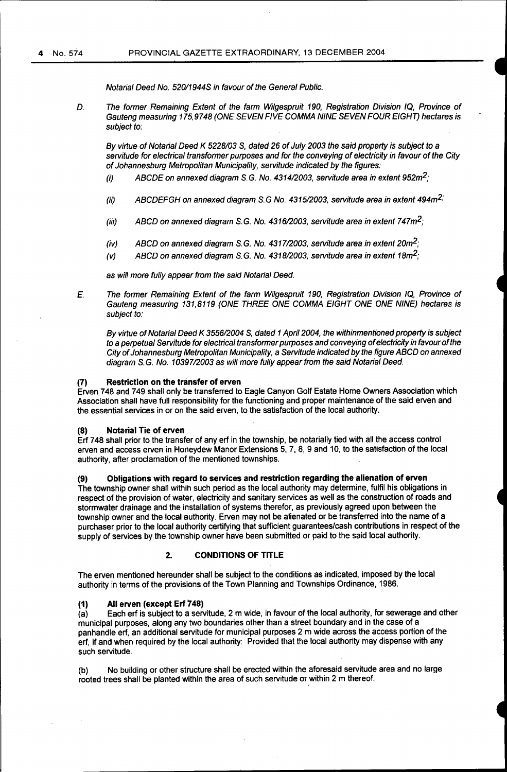Notarial Deed No. 52011944S in favour of the General Public.

D. The former Remaining Extent of the farm Wilgespruit 190, Registration Division IQ, Province of Gauteng measuring 175,9748 (ONE SEVEN FIVE COMMA NINE SEVEN FOUR EIGHT) hectares is subject to:

By virtue of Notarial Deed K 5228/03 S, dated 26 of July 2003 the said property is subject to a servitude for electrical transformer purposes and for the conveying of electricity in favour of the City of Johannesburg Metropolitan Municipality, servitude indicated by the figures:

- (i) ABCDE on annexed diagram S.G. No. 4314/2003, servitude area in extent 952 $m^2$ ;
- (ii) ABCDEFGH on annexed diagram S.G No. 4315/2003, servitude area in extent 494 $m^2$ ;
- (iii) ABCD on annexed diagram S.G. No. 4316/2003, servitude area in extent 747 $m^2$ ;
- (iv) ABCD on annexed diagram S.G. No. 4317/2003, servitude area in extent 20m<sup>2</sup>;
- (v) ABCD on annexed diagram S.G. No. 4318/2003, servitude area in extent  $18m^2$ ;

as will more fully appear from the said Notarial Deed.

*E.* The former Remaining Extent of the farm Wilgespruit 190, Registration Division IQ, Province of Gauteng measuring 131,8119 (ONE THREE ONE COMMA EIGHT ONE ONE NINE) hectares is subject to:

By virtue of Notarial Deed K 3556/2004 S, dated 1 April 2004, the withinmentioned property is subject to a perpetual Servitude for electrical transformer purposes and conveying of electricity in favour of the City of Johannesburg Metropolitan Municipality, a Servitude indicated by the figure ABCD on annexed diagram S.G. No. 10397/2003 as will more fully appear from the said Notarial Deed.

## (7) Restriction on the transfer of erven

Erven 748 and 749 shall only be transferred to Eagle Canyon Golf Estate Home Owners Association which Association shall have full responsibility for the functioning and proper maintenance of the said erven and the essential services in or on the said erven, to the satisfaction of the local authority.

#### (8) Notarial Tie of erven

Erf 748 shall prior to the transfer of any erf in the township, be notarially tied with all the access control erven and access erven in Honeydew Manor Extensions 5, 7, 8, 9 and 10, to the satisfaction of the local authority, after proclamation of the mentioned townships.

(9) Obligations with regard to services and restriction regarding the alienation of erven

The township owner shall withih such period as the local authority may determine, fulfil his obligations in respect of the provision of water, electricity and sanitary services as well as the construction of roads and stormwater drainage and the installation of systems therefor, as previously agreed upon between the township owner and the local authority. Erven may not be alienated or be transferred into the name of a purchaser prior to the local authority certifying that sufficient guarantees/cash contributions in respect of the supply of services by the township owner have been submitted or paid to the said local authority.

## 2. CONDITIONS OF TITLE

The erven mentioned hereunder shall be subject to the conditions as indicated, imposed by the local authority in terms of the provisions of the Town Planning and Townships Ordinance, 1986.

## (1) All erven (except Erf 748)

(a) Each erf is subject to a servitude, 2 m wide, in favour of the local authority, for sewerage and other municipal purposes, along any two boundaries other than a street boundary and in the case of a panhandle erf, an additional servitude for municipal purposes 2 m wide across the access portion of the erf, if and when required by the local authority: Provided that the local authority may dispense with any such servitude.

(b) No building or other structure shall be erected within the aforesaid servitude area and no large rooted trees shall be planted within the area of such servitude or within 2 m thereof.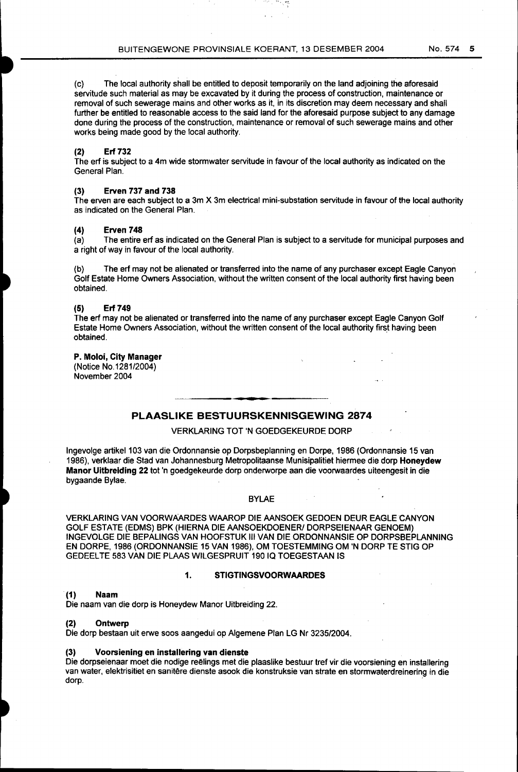(c) The local authority shall be entitled to deposit temporarily on the land adjoining the aforesaid servitude such material as may be excavated by it during the process of construction, maintenance or removal of such sewerage mains and other works as it, in its discretion may deem necessary and shall further be entitled to reasonable access to the said land for the aforesaid purpose subject to any damage done during the process of the construction, maintenance or removal of such sewerage mains and other works being made good by the local authority.

## **(2) Erf 732**

The erf is subject to a 4m wide stormwater servitude in favour of the local authority as indicated on the General Plan.

## (3) **Erven 737 and 738**

The erven are each subject to a 3m X 3m electrical mini-substation servitude in favour of the local authority as indicated on the General Plan.

# **(4) Erven 748**

The entire erf as indicated on the General Plan is subject to a servitude for municipal purposes and a right of way in favour of the local authority.

(b) The erf may not be alienated or transferred into the name of any purchaser except Eagle Canyon Golf Estate Home Owners Association, without the written consent of the local authority first having been obtained.

#### **(5) Erf749**

The erf may not be alienated or transferred into the name of any purchaser except Eagle Canyon Golf Estate Home Owners Association, without the written consent of the local authority first having been obtained.

## **P. Moloi, City Manager**

(Notice No.1281/2004) November 2004

## **PLAASLIKE BESTUURSKENNISGEWING 2874**

## VERKLARING TOT 'N GOEDGEKEURDE DORP

Ingevolge artikel 103 van die Ordonnansie op Dorpsbeplanning en Dorpe, 1986 (Ordonnansie 15 van 1986), verklaar die Stad van Johannesburg Metropolitaanse Munisipalitiet hiermee die dorp **Honeydew Manor Uitbreiding 22** tot 'n goedgekeurde dorp onderworpe aan die voorwaardes uiteengesit in die bygaande Bylae.

#### BYLAE

VERKLARING VAN VOORWAARDES WAAROP DIE AANSOEK GEDOEN DEUR EAGLE CANYON GOLF ESTATE (EDMS) BPK (HIERNA DIE AANSOEKDOENER/ DORPSEIENAAR GENOEM) INGEVOLGE DIE BEPALINGS VAN HOOFSTUK Ill VAN DIE ORDONNANSIE OP DORPSBEPLANNING EN DORPE, 1986 (ORDONNANSIE 15 VAN 1986), OM TOESTEMMING OM 'N DORP TE STIG OP GEDEELTE 583 VAN DIE PLAAS WILGESPRUIT 190 IQ TOEGESTAAN IS

## **1. STIGTINGSVOORWAARDES**

#### **(1) Naam**

Die naam van die dorp is Honeydew Manor Uitbreiding 22.

#### **(2) Ontwerp**

Die dorp bestaan uit erwe soos aangedui op Algemene Plan LG Nr 3235/2004.

#### **(3) Voorsiening en installering van dienste**

Die dorpseienaar moet die nodige reëlings met die plaaslike bestuur tref vir die voorsiening en installering van water, elektrisitiet en sanitêre dienste asook die konstruksie van strate en stormwaterdreinering in die dorp. The contract of the contract of the contract of the contract of the contract of the contract of the contract of the contract of the contract of the contract of the contract of the contract of the contract of the con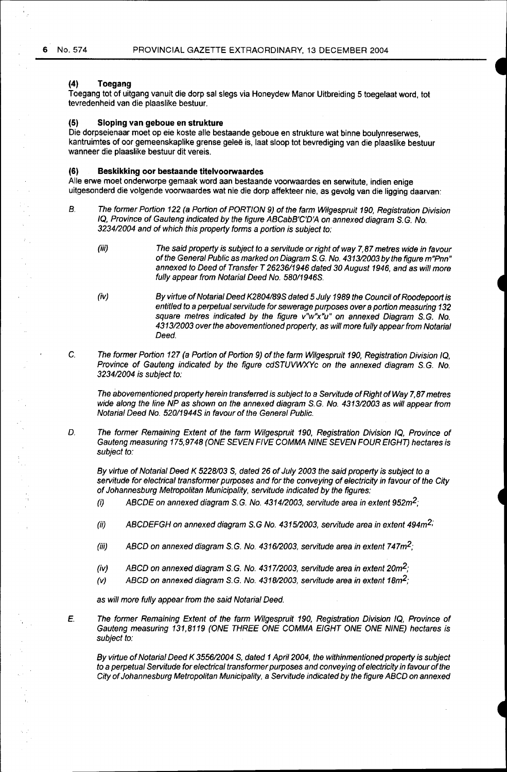## **(4) Toegang**

Toegang tot of uitgang vanuit die dorp sal slegs via Honeydew Manor Uitbreiding 5 toegelaat word, tot tevredenheid van die plaaslike bestuur.

### **(5) Sloping van geboue en strukture**

Die dorpseienaar moet op eie koste aile bestaande geboue en strukture wat binne boulynreserwes, kantruimtes of oor gemeenskaplike grense geleë is, laat sloop tot bevrediging van die plaaslike bestuur wanneer die plaaslike bestuur dit vereis.

#### **(6) Beskikking oor bestaande titelvoorwaardes**

Aile erwe moet onderworpe gemaak word aan bestaande voorwaardes en serwitute, indien enige uitgesonderd die volgende voorwaardes wat nie die dorp affekteer nie, as gevolg van die ligging daarvan:

- B. The former Portion 122 (a Portion of PORTION 9) of the farm Wilgespruit 190, Registration Division IQ, Province of Gauteng indicated by the figure ABCabB'C'D'A on annexed diagram S. G. No. 323412004 and of which this property forms a portion is subject to:
	- (iii) The said property is subject to a servitude or right of way 7, 87 metres wide in favour of the General Public as marked on Diagram S. G. No. 431312003 by the figure m"Pnn" annexed to Deed of Transfer T 26236/1946 dated 30 August 1946, and as will more fully appear from Notarial Deed No. 580/1946S.
	- (iv) By virtue of Notarial Deed K2804189S dated 5 July 1989 the Council of Roodepoort is entitled to a perpetual servitude for sewerage purposes over a portion measuring 132 square metres indicated by the figure v"w"x"u" on annexed Diagram S.G. No. 431312003 over the abovementioned property, as will more fully appear from Notarial Deed.
- C. The former Portion 127 (a Portion of Portion 9) of the farm Wilgespruit 190, Registration Division IQ, Province of Gauteng indicated by the figure cdSTUVWXYc on the annexed diagram S.G. No. 323412004 is subject to:

The abovementioned property herein transferred is subject to a Servitude of Right of Way 7, 87 metres wide along the line NP as shown on the annexed diagram S.G. No. 4313/2003 as will appear from Notarial Deed No. 52011944S in favour of the General Public.

D. The former Remaining Extent of the farm Wilgespruit 190, Registration Division IQ, Province of Gauteng measuring 175,9748 (ONE SEVEN FIVE COMMA NINE SEVEN FOUR EIGHT) hectares is subject to:

By virtue of Notarial Deed K 5228/03 S, dated 26 of July 2003 the said property is subject to a servitude for electrical transformer purposes and for the conveying of electricity in favour of the City of Johannesburg Metropolitan Municipality, servitude indicated by the figures:

- (i) ABCDE on annexed diagram S.G. No. 4314/2003, servitude area in extent  $952m^2$ ;
- (ii) ABCDEFGH on annexed diagram S.G No. 4315/2003, servitude area in extent 494 $m^2$ ;
- (iii) ABCD on annexed diagram S.G. No. 4316/2003, servitude area in extent 747 $m^2$ ;
- (iv) ABCD on annexed diagram S.G. No. 4317/2003, servitude area in extent 20 $m^2$ ;
- (v) ABCD on annexed diagram S.G. No. 4318/2003, servitude area in extent 18m<sup>2</sup>;

as will more fully appear from the said Notarial Deed.

E. The former Remaining Extent of the farm Wilgespruit 190, Registration Division IQ, Province of Gauteng measuring 131,8119 (ONE THREE ONE COMMA EIGHT ONE ONE NINE) hectares is subject to:

By virtue of Notarial Deed K 3556/2004 S, dated 1 April 2004, the withinmentioned property is subject to a perpetual Servitude for electrical transformer purposes and conveying of electricity in favour of the City of Johannesburg Metropolitan Municipality, a Servitude indicated by the figure ABCD on annexed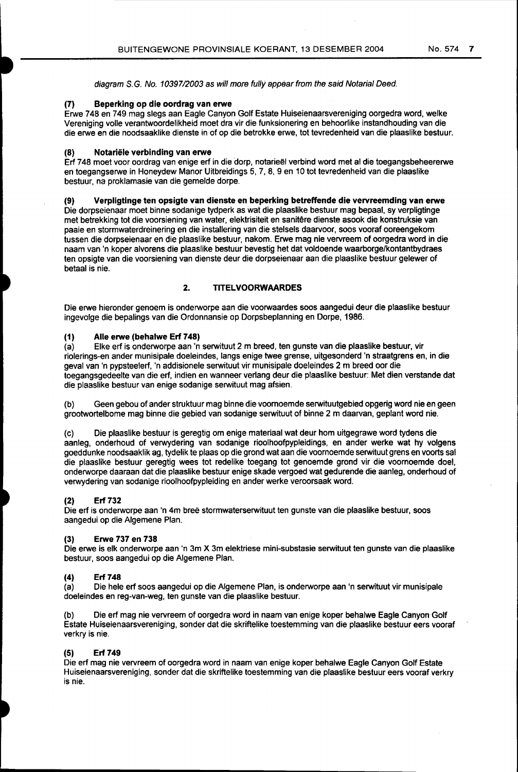diagram S.G. No. 10397/2003 as will more fully appear from the said Notarial Deed.

## (7) Beperking op die oordrag van erwe

Erwe 748 en 749 mag slegs aan Eagle Canyon Golf Estate Huiseienaarsvereniging oorgedra word, welke Vereniging volle verantwoordelikheid moet dra vir die funksionering en behoorlike instandhouding van die die erwe en die noodsaaklike dienste in of op die betrokke erwe, tot tevredenheid van die plaaslike bestuur.

## (8) Notariele verbinding van erwe

Erf 7 48 moet voor oordrag van enige erf in die dorp, notarieel verbind word met al die toegangsbeheererwe en toegangserwe in Honeydew Manor Uitbreidings 5, 7, 8, 9 en 10 tot tevredenheid van die plaaslike bestuur, na proklamasie van die gemelde dorpe.

## (9) Verpligtinge ten opsigte van dienste en beperking betreffende die vervreemding van erwe

Die dorpseienaar moet binne sodanige tydperk as wat die plaaslike bestuur mag bepaal, sy verpligtinge met betrekking tot die voorsiening van water, elektrisiteit en sanitare dienste asook die konstruksie van paaie en stormwaterdreinering en die installering van die stelsels daarvoor, soos vooraf ooreengekom tussen die dorpseienaar en die plaaslike bestuur, nakom. Erwe mag nie vervreem of oorgedra word in die naam van 'n koper alvorens die plaaslike bestuur bevestig het dat voldoende waarborge/kontantbydraes ten opsigte van die voorsiening van dienste deur die dorpseienaar aan die plaaslike bestuur gelewer of betaal is nie.

## 2. TITELVOORWAARDES

Die erwe hieronder genoem is onderworpe aan die voorwaardes soos aangedui deur die plaaslike bestuur ingevolge die bepalings van die Ordonnansie op Dorpsbeplanning en Dorpe, 1986.

## (1) Aile erwe (behalwe Erf748)

(a) Elke erf is onderworpe aan 'n serwituut 2m breed, ten gunste van die plaaslike bestuur, vir riolerings-en ander munisipale doeleindes, fangs enige twee grense, uitgesonderd 'n straatgrens en, in die geval van 'n pypsteelerf, 'n addisionele serwituut vir munisipale doeleindes 2 m breed oor die toegangsgedeelte van die erf, indien en wanneer verlang deur die plaaslike bestuur: Met dien verstande dat die plaaslike bestuur van enige sodanige serwituut mag afsien.

(b) Geen gebou of ander struktuur mag binne die voomoemde serwituutgebied opgerig word nie en geen grootwortelbome mag binne die gebied van sodanige serwituut of binne 2 m daarvan, geplant word nie.

(c) Die plaaslike bestuur is geregtig om enige materiaal wat deur hom uitgegrawe word tydens die aanleg, onderhoud of verwydering van sodanige rioolhoofpypleidings, en ander werke wat hy volgens goeddunke noodsaaklik ag, tydelik te plaas op die grand wat aan die voornoemde serwituut grens en voorts sal die plaaslike bestuur geregtig wees tot redelike toegang tot genoemde grand vir die voornoemde doel, onderworpe daaraan dat die plaaslike bestuur enige skade vergoed wat gedurende die aanleg, onderhoud of verwydering van sodanige rioolhoofpypleiding en ander werke veroorsaak word.

## (2) Erf 732

Die erf is onderworpe aan 'n 4m bree stormwaterserwituut ten gunste van die plaaslike bestuur, soos aangedui op die Algemene Plan.

## (3) Erwe 737 en 738

Die erwe is elk onderworpe aan 'n 3m X 3m elektriese mini-substasie serwituut ten gunste van die plaaslike bestuur, soos aangedui op die Algemene Plan.

## (4) Erf 748

(a) Die hele erf soos aangedui op die Algemene Plan, is onderworpe aan 'n serwituut vir munisipale doeleindes en reg-van-weg, ten gunste van die plaaslike bestuur.

Die erf mag nie vervreem of oorgedra word in naam van enige koper behalwe Eagle Canyon Golf Estate Huiseienaarsvereniging, sander dat die skriftelike toestemming van die plaaslike bestuur eers vooraf verkry is nie.

## (5) Erf 749

Die erf mag nie vervreem of oorgedra word in naam van enige koper behalwe Eagle Canyon Golf Estate Huiseienaarsvereniging, sander dat die skriftelike toestemming van die plaaslike bestuur eers vooraf verkry is nie.